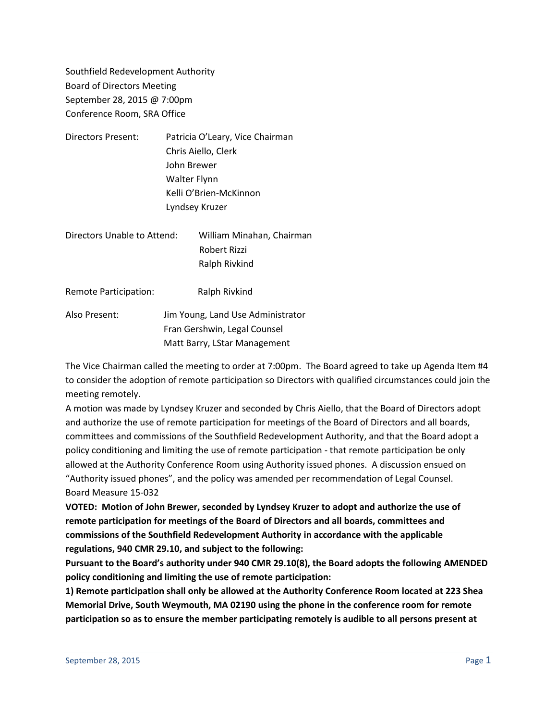Southfield Redevelopment Authority Board of Directors Meeting September 28, 2015 @ 7:00pm Conference Room, SRA Office

| Directors Present: |                                                                              | Patricia O'Leary, Vice Chairman |                             |  |                           |
|--------------------|------------------------------------------------------------------------------|---------------------------------|-----------------------------|--|---------------------------|
|                    | Chris Aiello, Clerk<br>John Brewer<br>Walter Flynn<br>Kelli O'Brien-McKinnon |                                 |                             |  |                           |
|                    |                                                                              |                                 | Lyndsey Kruzer              |  |                           |
|                    |                                                                              |                                 | Directors Unable to Attend: |  | William Minahan, Chairman |
|                    |                                                                              |                                 |                             |  | Robert Rizzi              |

Remote Participation: Ralph Rivkind Also Present: Jim Young, Land Use Administrator Fran Gershwin, Legal Counsel Matt Barry, LStar Management

Ralph Rivkind

The Vice Chairman called the meeting to order at 7:00pm. The Board agreed to take up Agenda Item #4 to consider the adoption of remote participation so Directors with qualified circumstances could join the meeting remotely.

A motion was made by Lyndsey Kruzer and seconded by Chris Aiello, that the Board of Directors adopt and authorize the use of remote participation for meetings of the Board of Directors and all boards, committees and commissions of the Southfield Redevelopment Authority, and that the Board adopt a policy conditioning and limiting the use of remote participation - that remote participation be only allowed at the Authority Conference Room using Authority issued phones. A discussion ensued on "Authority issued phones", and the policy was amended per recommendation of Legal Counsel. Board Measure 15-032

**VOTED: Motion of John Brewer, seconded by Lyndsey Kruzer to adopt and authorize the use of remote participation for meetings of the Board of Directors and all boards, committees and commissions of the Southfield Redevelopment Authority in accordance with the applicable regulations, 940 CMR 29.10, and subject to the following:**

**Pursuant to the Board's authority under 940 CMR 29.10(8), the Board adopts the following AMENDED policy conditioning and limiting the use of remote participation:**

**1) Remote participation shall only be allowed at the Authority Conference Room located at 223 Shea Memorial Drive, South Weymouth, MA 02190 using the phone in the conference room for remote participation so as to ensure the member participating remotely is audible to all persons present at**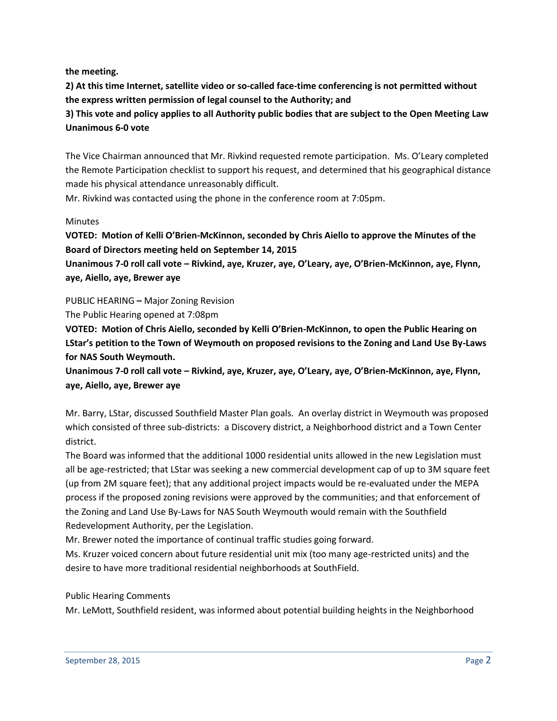**the meeting.**

**2) At this time Internet, satellite video or so-called face-time conferencing is not permitted without the express written permission of legal counsel to the Authority; and**

**3) This vote and policy applies to all Authority public bodies that are subject to the Open Meeting Law Unanimous 6-0 vote**

The Vice Chairman announced that Mr. Rivkind requested remote participation. Ms. O'Leary completed the Remote Participation checklist to support his request, and determined that his geographical distance made his physical attendance unreasonably difficult.

Mr. Rivkind was contacted using the phone in the conference room at 7:05pm.

### **Minutes**

**VOTED: Motion of Kelli O'Brien-McKinnon, seconded by Chris Aiello to approve the Minutes of the Board of Directors meeting held on September 14, 2015**

**Unanimous 7-0 roll call vote – Rivkind, aye, Kruzer, aye, O'Leary, aye, O'Brien-McKinnon, aye, Flynn, aye, Aiello, aye, Brewer aye**

PUBLIC HEARING **–** Major Zoning Revision

The Public Hearing opened at 7:08pm

**VOTED: Motion of Chris Aiello, seconded by Kelli O'Brien-McKinnon, to open the Public Hearing on LStar's petition to the Town of Weymouth on proposed revisions to the Zoning and Land Use By-Laws for NAS South Weymouth.**

**Unanimous 7-0 roll call vote – Rivkind, aye, Kruzer, aye, O'Leary, aye, O'Brien-McKinnon, aye, Flynn, aye, Aiello, aye, Brewer aye**

Mr. Barry, LStar, discussed Southfield Master Plan goals. An overlay district in Weymouth was proposed which consisted of three sub-districts: a Discovery district, a Neighborhood district and a Town Center district.

The Board was informed that the additional 1000 residential units allowed in the new Legislation must all be age-restricted; that LStar was seeking a new commercial development cap of up to 3M square feet (up from 2M square feet); that any additional project impacts would be re-evaluated under the MEPA process if the proposed zoning revisions were approved by the communities; and that enforcement of the Zoning and Land Use By-Laws for NAS South Weymouth would remain with the Southfield Redevelopment Authority, per the Legislation.

Mr. Brewer noted the importance of continual traffic studies going forward.

Ms. Kruzer voiced concern about future residential unit mix (too many age-restricted units) and the desire to have more traditional residential neighborhoods at SouthField.

Public Hearing Comments

Mr. LeMott, Southfield resident, was informed about potential building heights in the Neighborhood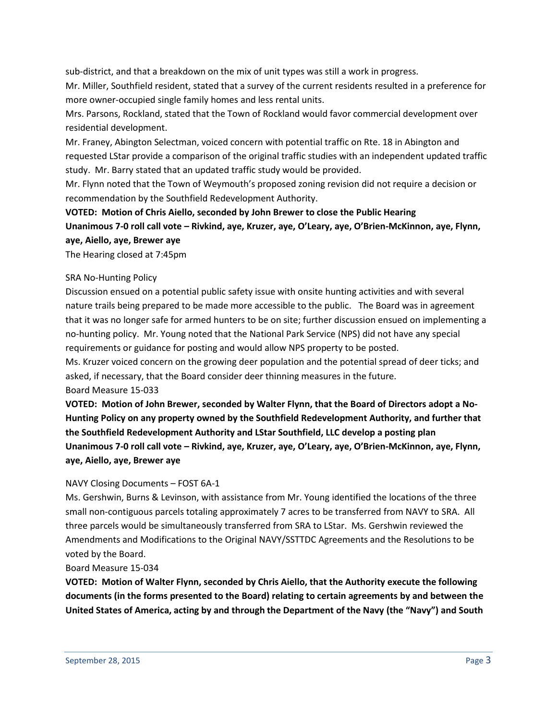sub-district, and that a breakdown on the mix of unit types was still a work in progress.

Mr. Miller, Southfield resident, stated that a survey of the current residents resulted in a preference for more owner-occupied single family homes and less rental units.

Mrs. Parsons, Rockland, stated that the Town of Rockland would favor commercial development over residential development.

Mr. Franey, Abington Selectman, voiced concern with potential traffic on Rte. 18 in Abington and requested LStar provide a comparison of the original traffic studies with an independent updated traffic study. Mr. Barry stated that an updated traffic study would be provided.

Mr. Flynn noted that the Town of Weymouth's proposed zoning revision did not require a decision or recommendation by the Southfield Redevelopment Authority.

**VOTED: Motion of Chris Aiello, seconded by John Brewer to close the Public Hearing Unanimous 7-0 roll call vote – Rivkind, aye, Kruzer, aye, O'Leary, aye, O'Brien-McKinnon, aye, Flynn, aye, Aiello, aye, Brewer aye**

The Hearing closed at 7:45pm

## SRA No-Hunting Policy

Discussion ensued on a potential public safety issue with onsite hunting activities and with several nature trails being prepared to be made more accessible to the public. The Board was in agreement that it was no longer safe for armed hunters to be on site; further discussion ensued on implementing a no-hunting policy. Mr. Young noted that the National Park Service (NPS) did not have any special requirements or guidance for posting and would allow NPS property to be posted.

Ms. Kruzer voiced concern on the growing deer population and the potential spread of deer ticks; and asked, if necessary, that the Board consider deer thinning measures in the future. Board Measure 15-033

**VOTED: Motion of John Brewer, seconded by Walter Flynn, that the Board of Directors adopt a No-Hunting Policy on any property owned by the Southfield Redevelopment Authority, and further that the Southfield Redevelopment Authority and LStar Southfield, LLC develop a posting plan Unanimous 7-0 roll call vote – Rivkind, aye, Kruzer, aye, O'Leary, aye, O'Brien-McKinnon, aye, Flynn,** 

# NAVY Closing Documents – FOST 6A-1

**aye, Aiello, aye, Brewer aye**

Ms. Gershwin, Burns & Levinson, with assistance from Mr. Young identified the locations of the three small non-contiguous parcels totaling approximately 7 acres to be transferred from NAVY to SRA. All three parcels would be simultaneously transferred from SRA to LStar. Ms. Gershwin reviewed the Amendments and Modifications to the Original NAVY/SSTTDC Agreements and the Resolutions to be voted by the Board.

### Board Measure 15-034

**VOTED: Motion of Walter Flynn, seconded by Chris Aiello, that the Authority execute the following documents (in the forms presented to the Board) relating to certain agreements by and between the United States of America, acting by and through the Department of the Navy (the "Navy") and South**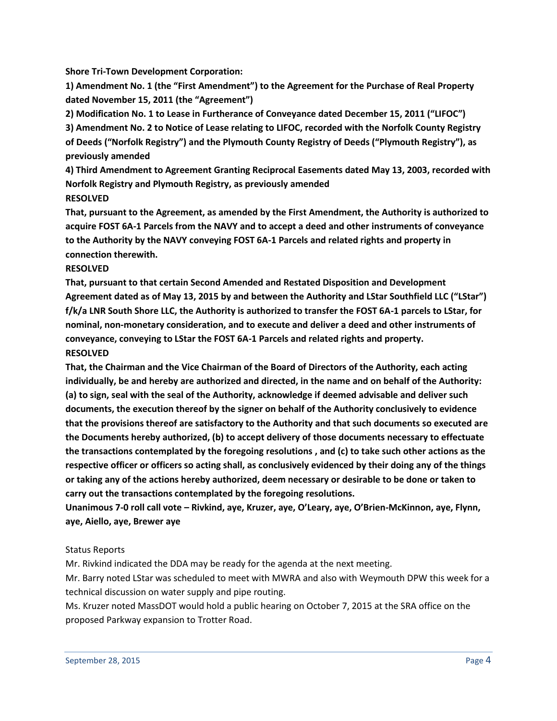**Shore Tri-Town Development Corporation:**

**1) Amendment No. 1 (the "First Amendment") to the Agreement for the Purchase of Real Property dated November 15, 2011 (the "Agreement")**

**2) Modification No. 1 to Lease in Furtherance of Conveyance dated December 15, 2011 ("LIFOC") 3) Amendment No. 2 to Notice of Lease relating to LIFOC, recorded with the Norfolk County Registry of Deeds ("Norfolk Registry") and the Plymouth County Registry of Deeds ("Plymouth Registry"), as previously amended**

**4) Third Amendment to Agreement Granting Reciprocal Easements dated May 13, 2003, recorded with Norfolk Registry and Plymouth Registry, as previously amended RESOLVED**

**That, pursuant to the Agreement, as amended by the First Amendment, the Authority is authorized to acquire FOST 6A-1 Parcels from the NAVY and to accept a deed and other instruments of conveyance to the Authority by the NAVY conveying FOST 6A-1 Parcels and related rights and property in connection therewith.**

### **RESOLVED**

**That, pursuant to that certain Second Amended and Restated Disposition and Development Agreement dated as of May 13, 2015 by and between the Authority and LStar Southfield LLC ("LStar") f/k/a LNR South Shore LLC, the Authority is authorized to transfer the FOST 6A-1 parcels to LStar, for nominal, non-monetary consideration, and to execute and deliver a deed and other instruments of conveyance, conveying to LStar the FOST 6A-1 Parcels and related rights and property. RESOLVED**

**That, the Chairman and the Vice Chairman of the Board of Directors of the Authority, each acting individually, be and hereby are authorized and directed, in the name and on behalf of the Authority: (a) to sign, seal with the seal of the Authority, acknowledge if deemed advisable and deliver such documents, the execution thereof by the signer on behalf of the Authority conclusively to evidence that the provisions thereof are satisfactory to the Authority and that such documents so executed are the Documents hereby authorized, (b) to accept delivery of those documents necessary to effectuate the transactions contemplated by the foregoing resolutions , and (c) to take such other actions as the respective officer or officers so acting shall, as conclusively evidenced by their doing any of the things or taking any of the actions hereby authorized, deem necessary or desirable to be done or taken to carry out the transactions contemplated by the foregoing resolutions.**

**Unanimous 7-0 roll call vote – Rivkind, aye, Kruzer, aye, O'Leary, aye, O'Brien-McKinnon, aye, Flynn, aye, Aiello, aye, Brewer aye**

### Status Reports

Mr. Rivkind indicated the DDA may be ready for the agenda at the next meeting.

Mr. Barry noted LStar was scheduled to meet with MWRA and also with Weymouth DPW this week for a technical discussion on water supply and pipe routing.

Ms. Kruzer noted MassDOT would hold a public hearing on October 7, 2015 at the SRA office on the proposed Parkway expansion to Trotter Road.